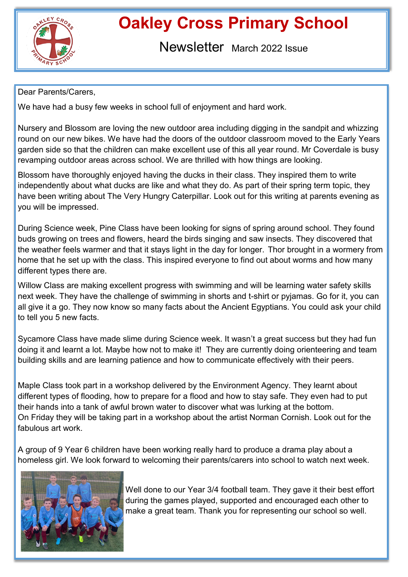

# **Oakley Cross Primary School**

Newsletter March 2022 Issue

## Dear Parents/Carers,

We have had a busy few weeks in school full of enjoyment and hard work.

Nursery and Blossom are loving the new outdoor area including digging in the sandpit and whizzing round on our new bikes. We have had the doors of the outdoor classroom moved to the Early Years garden side so that the children can make excellent use of this all year round. Mr Coverdale is busy revamping outdoor areas across school. We are thrilled with how things are looking.

Blossom have thoroughly enjoyed having the ducks in their class. They inspired them to write independently about what ducks are like and what they do. As part of their spring term topic, they have been writing about The Very Hungry Caterpillar. Look out for this writing at parents evening as you will be impressed.

During Science week, Pine Class have been looking for signs of spring around school. They found buds growing on trees and flowers, heard the birds singing and saw insects. They discovered that the weather feels warmer and that it stays light in the day for longer. Thor brought in a wormery from home that he set up with the class. This inspired everyone to find out about worms and how many different types there are.

Willow Class are making excellent progress with swimming and will be learning water safety skills next week. They have the challenge of swimming in shorts and t-shirt or pyjamas. Go for it, you can all give it a go. They now know so many facts about the Ancient Egyptians. You could ask your child to tell you 5 new facts.

Sycamore Class have made slime during Science week. It wasn't a great success but they had fun doing it and learnt a lot. Maybe how not to make it! They are currently doing orienteering and team building skills and are learning patience and how to communicate effectively with their peers.

Maple Class took part in a workshop delivered by the Environment Agency. They learnt about different types of flooding, how to prepare for a flood and how to stay safe. They even had to put their hands into a tank of awful brown water to discover what was lurking at the bottom. On Friday they will be taking part in a workshop about the artist Norman Cornish. Look out for the fabulous art work.

A group of 9 Year 6 children have been working really hard to produce a drama play about a homeless girl. We look forward to welcoming their parents/carers into school to watch next week.



Well done to our Year 3/4 football team. They gave it their best effort during the games played, supported and encouraged each other to make a great team. Thank you for representing our school so well.